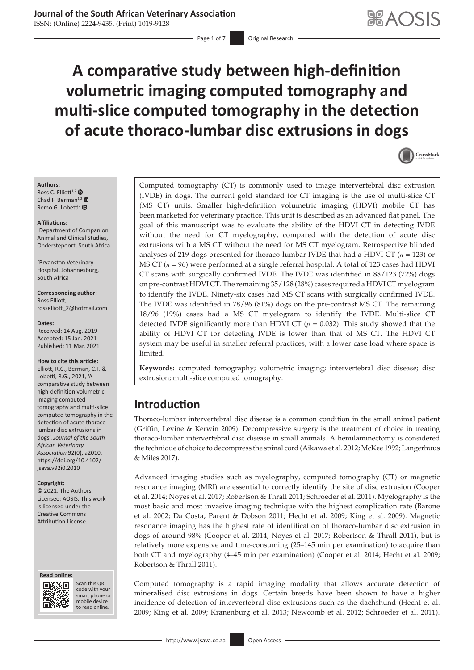# **Journal of the South African Veterinary Association**

ISSN: (Online) 2224-9435, (Print) 1019-9128

Page 1 of 7 **Original Research** 

# **A comparative study between high-definition volumetric imaging computed tomography and multi-slice computed tomography in the detection of acute thoraco-lumbar disc extrusions in dogs**



#### **Authors:** Ross C. Elliott<sup>1,2</sup>  $\bullet$

Chad F. Berman<sup>1,[2](https://orcid.org/0000-0001-9960-2770)</sup> Remo G. Lobetti<sup>[2](https://orcid.org/0000-0002-2871-3104)</sup> <sup>O</sup>

#### **Affiliations:**

1 Department of Companion Animal and Clinical Studies, Onderstepoort, South Africa

2 Bryanston Veterinary Hospital, Johannesburg, South Africa

**Corresponding author:** Ross Elliott, [rosselliott\\_2@hotmail.com](mailto:rosselliott_2@hotmail.com)

#### **Dates:**

Received: 14 Aug. 2019 Accepted: 15 Jan. 2021 Published: 11 Mar. 2021

#### **How to cite this article:**

Elliott, R.C., Berman, C.F. & Lobetti, R.G., 2021, 'A comparative study between high-definition volumetric imaging computed tomography and multi-slice computed tomography in the detection of acute thoracolumbar disc extrusions in dogs', *Journal of the South African Veterinary Association* 92(0), a2010. [https://doi.org/10.4102/](https://doi.org/10.4102/jsava.v92i0.2010) [jsava.v92i0.2010](https://doi.org/10.4102/jsava.v92i0.2010)

#### **Copyright:**

© 2021. The Authors. Licensee: AOSIS. This work is licensed under the Creative Commons Attribution License.

#### **Read online: Read online:**



Scan this QR code with your Scan this QR<br>code with your<br>smart phone or<br>mobile device mobile device to read online. to read online.

Computed tomography (CT) is commonly used to image intervertebral disc extrusion (IVDE) in dogs. The current gold standard for CT imaging is the use of multi-slice CT (MS CT) units. Smaller high-definition volumetric imaging (HDVI) mobile CT has been marketed for veterinary practice. This unit is described as an advanced flat panel. The goal of this manuscript was to evaluate the ability of the HDVI CT in detecting IVDE without the need for CT myelography, compared with the detection of acute disc extrusions with a MS CT without the need for MS CT myelogram. Retrospective blinded analyses of 219 dogs presented for thoraco-lumbar IVDE that had a HDVI CT (*n* = 123) or MS CT (*n* = 96) were performed at a single referral hospital. A total of 123 cases had HDVI CT scans with surgically confirmed IVDE. The IVDE was identified in 88/123 (72%) dogs on pre-contrast HDVI CT. The remaining 35/128 (28%) cases required a HDVI CT myelogram to identify the IVDE. Ninety-six cases had MS CT scans with surgically confirmed IVDE. The IVDE was identified in 78/96 (81%) dogs on the pre-contrast MS CT. The remaining 18/96 (19%) cases had a MS CT myelogram to identify the IVDE. Multi-slice CT detected IVDE significantly more than HDVI CT ( $p = 0.032$ ). This study showed that the ability of HDVI CT for detecting IVDE is lower than that of MS CT. The HDVI CT system may be useful in smaller referral practices, with a lower case load where space is limited.

**Keywords:** computed tomography; volumetric imaging; intervertebral disc disease; disc extrusion; multi-slice computed tomography.

# **Introduction**

Thoraco-lumbar intervertebral disc disease is a common condition in the small animal patient (Griffin, Levine & Kerwin 2009). Decompressive surgery is the treatment of choice in treating thoraco-lumbar intervertebral disc disease in small animals. A hemilaminectomy is considered the technique of choice to decompress the spinal cord (Aikawa et al. 2012; McKee 1992; Langerhuus & Miles 2017).

Advanced imaging studies such as myelography, computed tomography (CT) or magnetic resonance imaging (MRI) are essential to correctly identify the site of disc extrusion (Cooper et al. 2014; Noyes et al. 2017; Robertson & Thrall 2011; Schroeder et al. 2011). Myelography is the most basic and most invasive imaging technique with the highest complication rate (Barone et al. 2002; Da Costa, Parent & Dobson 2011; Hecht et al. 2009; King et al. 2009). Magnetic resonance imaging has the highest rate of identification of thoraco-lumbar disc extrusion in dogs of around 98% (Cooper et al. 2014; Noyes et al. 2017; Robertson & Thrall 2011), but is relatively more expensive and time-consuming (25–145 min per examination) to acquire than both CT and myelography (4–45 min per examination) (Cooper et al. 2014; Hecht et al. 2009; Robertson & Thrall 2011).

Computed tomography is a rapid imaging modality that allows accurate detection of mineralised disc extrusions in dogs. Certain breeds have been shown to have a higher incidence of detection of intervertebral disc extrusions such as the dachshund (Hecht et al. 2009; King et al. 2009; Kranenburg et al. 2013; Newcomb et al. 2012; Schroeder et al. 2011).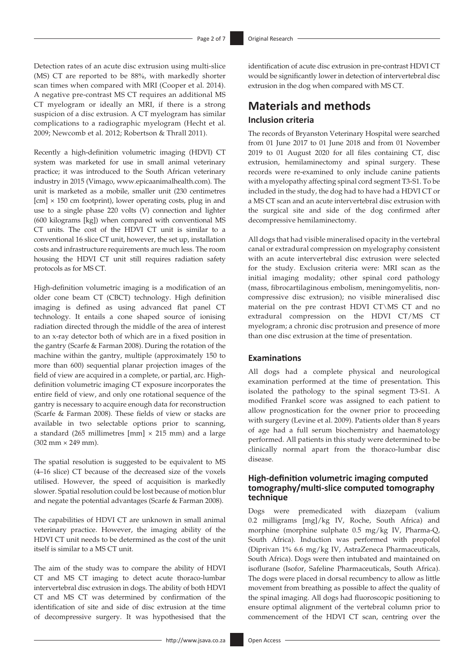Detection rates of an acute disc extrusion using multi-slice (MS) CT are reported to be 88%, with markedly shorter scan times when compared with MRI (Cooper et al. 2014). A negative pre-contrast MS CT requires an additional MS CT myelogram or ideally an MRI, if there is a strong suspicion of a disc extrusion. A CT myelogram has similar complications to a radiographic myelogram (Hecht et al. 2009; Newcomb et al. 2012; Robertson & Thrall 2011).

Recently a high-definition volumetric imaging (HDVI) CT system was marketed for use in small animal veterinary practice; it was introduced to the South African veterinary industry in 2015 (Vimago, <www.epicaanimalhealth.com>). The unit is marketed as a mobile, smaller unit (230 centimetres  $[cm] \times 150$  cm footprint), lower operating costs, plug in and use to a single phase 220 volts (V) connection and lighter (600 kilograms [kg]) when compared with conventional MS CT units. The cost of the HDVI CT unit is similar to a conventional 16 slice CT unit, however, the set up, installation costs and infrastructure requirements are much less. The room housing the HDVI CT unit still requires radiation safety protocols as for MS CT.

High-definition volumetric imaging is a modification of an older cone beam CT (CBCT) technology. High definition imaging is defined as using advanced flat panel CT technology. It entails a cone shaped source of ionising radiation directed through the middle of the area of interest to an x-ray detector both of which are in a fixed position in the gantry (Scarfe & Farman 2008). During the rotation of the machine within the gantry, multiple (approximately 150 to more than 600) sequential planar projection images of the field of view are acquired in a complete, or partial, arc. Highdefinition volumetric imaging CT exposure incorporates the entire field of view, and only one rotational sequence of the gantry is necessary to acquire enough data for reconstruction (Scarfe & Farman 2008). These fields of view or stacks are available in two selectable options prior to scanning, a standard (265 millimetres  $[mm] \times 215$  mm) and a large  $(302 \, \text{mm} \times 249 \, \text{mm})$ .

The spatial resolution is suggested to be equivalent to MS (4–16 slice) CT because of the decreased size of the voxels utilised. However, the speed of acquisition is markedly slower. Spatial resolution could be lost because of motion blur and negate the potential advantages (Scarfe & Farman 2008).

The capabilities of HDVI CT are unknown in small animal veterinary practice. However, the imaging ability of the HDVI CT unit needs to be determined as the cost of the unit itself is similar to a MS CT unit.

The aim of the study was to compare the ability of HDVI CT and MS CT imaging to detect acute thoraco-lumbar intervertebral disc extrusion in dogs. The ability of both HDVI CT and MS CT was determined by confirmation of the identification of site and side of disc extrusion at the time of decompressive surgery. It was hypothesised that the

identification of acute disc extrusion in pre-contrast HDVI CT would be significantly lower in detection of intervertebral disc extrusion in the dog when compared with MS CT.

# **Materials and methods Inclusion criteria**

The records of Bryanston Veterinary Hospital were searched from 01 June 2017 to 01 June 2018 and from 01 November 2019 to 01 August 2020 for all files containing CT, disc extrusion, hemilaminectomy and spinal surgery. These records were re-examined to only include canine patients with a myelopathy affecting spinal cord segment T3-S1. To be included in the study, the dog had to have had a HDVI CT or a MS CT scan and an acute intervertebral disc extrusion with the surgical site and side of the dog confirmed after decompressive hemilaminectomy.

All dogs that had visible mineralised opacity in the vertebral canal or extradural compression on myelography consistent with an acute intervertebral disc extrusion were selected for the study. Exclusion criteria were: MRI scan as the initial imaging modality; other spinal cord pathology (mass, fibrocartilaginous embolism, meningomyelitis, noncompressive disc extrusion); no visible mineralised disc material on the pre contrast HDVI CT\MS CT and no extradural compression on the HDVI CT/MS CT myelogram; a chronic disc protrusion and presence of more than one disc extrusion at the time of presentation.

#### **Examinations**

All dogs had a complete physical and neurological examination performed at the time of presentation. This isolated the pathology to the spinal segment T3-S1. A modified Frankel score was assigned to each patient to allow prognostication for the owner prior to proceeding with surgery (Levine et al. 2009). Patients older than 8 years of age had a full serum biochemistry and haematology performed. All patients in this study were determined to be clinically normal apart from the thoraco-lumbar disc disease.

#### **High-definition volumetric imaging computed tomography/multi-slice computed tomography technique**

Dogs were premedicated with diazepam (valium 0.2 milligrams [mg]/kg IV, Roche, South Africa) and morphine (morphine sulphate 0.5 mg/kg IV, Pharma-Q, South Africa). Induction was performed with propofol (Diprivan 1% 6.6 mg/kg IV, AstraZeneca Pharmaceuticals, South Africa). Dogs were then intubated and maintained on isoflurane (Isofor, Safeline Pharmaceuticals, South Africa). The dogs were placed in dorsal recumbency to allow as little movement from breathing as possible to affect the quality of the spinal imaging. All dogs had fluoroscopic positioning to ensure optimal alignment of the vertebral column prior to commencement of the HDVI CT scan, centring over the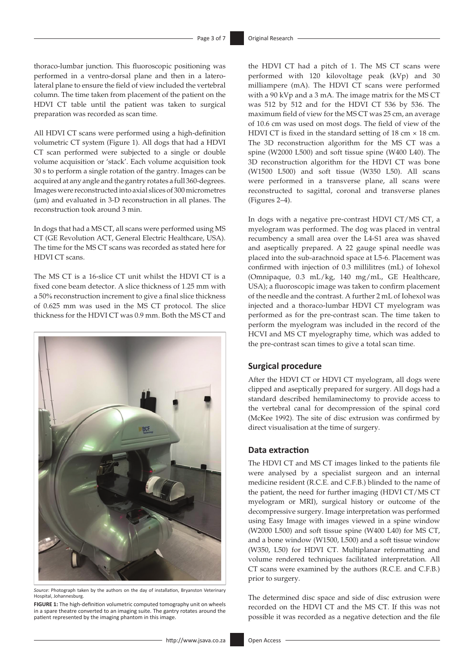thoraco-lumbar junction. This fluoroscopic positioning was performed in a ventro-dorsal plane and then in a laterolateral plane to ensure the field of view included the vertebral column. The time taken from placement of the patient on the HDVI CT table until the patient was taken to surgical preparation was recorded as scan time.

All HDVI CT scans were performed using a high-definition volumetric CT system (Figure 1). All dogs that had a HDVI CT scan performed were subjected to a single or double volume acquisition or 'stack'. Each volume acquisition took 30 s to perform a single rotation of the gantry. Images can be acquired at any angle and the gantry rotates a full 360-degrees. Images were reconstructed into axial slices of 300 micrometres (μm) and evaluated in 3-D reconstruction in all planes. The reconstruction took around 3 min.

In dogs that had a MS CT, all scans were performed using MS CT (GE Revolution ACT, General Electric Healthcare, USA). The time for the MS CT scans was recorded as stated here for HDVI CT scans.

The MS CT is a 16-slice CT unit whilst the HDVI CT is a fixed cone beam detector. A slice thickness of 1.25 mm with a 50% reconstruction increment to give a final slice thickness of 0.625 mm was used in the MS CT protocol. The slice thickness for the HDVI CT was 0.9 mm. Both the MS CT and



*Source*: Photograph taken by the authors on the day of installation, Bryanston Veterinary Hospital, Johannesburg.

**FIGURE 1:** The high-definition volumetric computed tomography unit on wheels in a spare theatre converted to an imaging suite. The gantry rotates around the patient represented by the imaging phantom in this image.

the HDVI CT had a pitch of 1. The MS CT scans were performed with 120 kilovoltage peak (kVp) and 30 milliampere (mA). The HDVI CT scans were performed with a 90 kVp and a 3 mA. The image matrix for the MS CT was 512 by 512 and for the HDVI CT 536 by 536. The maximum field of view for the MS CT was 25 cm, an average of 10.6 cm was used on most dogs. The field of view of the HDVI CT is fixed in the standard setting of  $18 \text{ cm} \times 18 \text{ cm}$ . The 3D reconstruction algorithm for the MS CT was a spine (W2000 L500) and soft tissue spine (W400 L40). The 3D reconstruction algorithm for the HDVI CT was bone (W1500 L500) and soft tissue (W350 L50). All scans were performed in a transverse plane, all scans were reconstructed to sagittal, coronal and transverse planes (Figures 2–4).

In dogs with a negative pre-contrast HDVI CT/MS CT, a myelogram was performed. The dog was placed in ventral recumbency a small area over the L4-S1 area was shaved and aseptically prepared. A 22 gauge spinal needle was placed into the sub-arachnoid space at L5-6. Placement was confirmed with injection of 0.3 millilitres (mL) of Iohexol (Omnipaque, 0.3 mL/kg, 140 mg/mL, GE Healthcare, USA); a fluoroscopic image was taken to confirm placement of the needle and the contrast. A further 2 mL of Iohexol was injected and a thoraco-lumbar HDVI CT myelogram was performed as for the pre-contrast scan. The time taken to perform the myelogram was included in the record of the HCVI and MS CT myelography time, which was added to the pre-contrast scan times to give a total scan time.

#### **Surgical procedure**

After the HDVI CT or HDVI CT myelogram, all dogs were clipped and aseptically prepared for surgery. All dogs had a standard described hemilaminectomy to provide access to the vertebral canal for decompression of the spinal cord (McKee 1992). The site of disc extrusion was confirmed by direct visualisation at the time of surgery.

#### **Data extraction**

The HDVI CT and MS CT images linked to the patients file were analysed by a specialist surgeon and an internal medicine resident (R.C.E. and C.F.B.) blinded to the name of the patient, the need for further imaging (HDVI CT/MS CT myelogram or MRI), surgical history or outcome of the decompressive surgery. Image interpretation was performed using Easy Image with images viewed in a spine window (W2000 L500) and soft tissue spine (W400 L40) for MS CT, and a bone window (W1500, L500) and a soft tissue window (W350, L50) for HDVI CT. Multiplanar reformatting and volume rendered techniques facilitated interpretation. All CT scans were examined by the authors (R.C.E. and C.F.B.) prior to surgery.

The determined disc space and side of disc extrusion were recorded on the HDVI CT and the MS CT. If this was not possible it was recorded as a negative detection and the file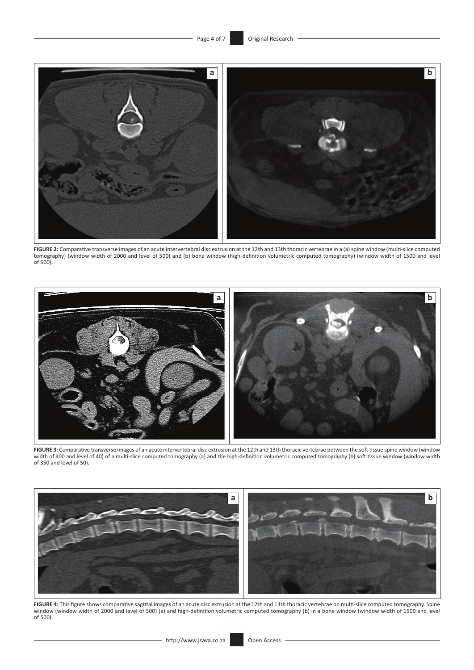

**FIGURE 2:** Comparative transverse images of an acute intervertebral disc extrusion at the 12th and 13th thoracic vertebrae in a (a) spine window (multi-slice computed tomography) (window width of 2000 and level of 500) and (b) bone window (high-definition volumetric computed tomography) (window width of 1500 and level of 500).



**FIGURE 3:** Comparative transverse images of an acute intervertebral disc extrusion at the 12th and 13th thoracic vertebrae between the soft tissue spine window (window width of 400 and level of 40) of a multi-slice computed tomography (a) and the high-definition volumetric computed tomography (b) soft tissue window (window width of 350 and level of 50).



**FIGURE 4:** This figure shows comparative sagittal images of an acute disc extrusion at the 12th and 13th thoracic vertebrae on multi-slice computed tomography. Spine window (window width of 2000 and level of 500) (a) and high-definition volumetric computed tomography (b) in a bone window (window width of 1500 and level of 500).

<u> 1989 - Johann Barn, mars ann an t-Amhain Aonaich an t-Aonaich an t-Aonaich ann an t-Aonaich ann an t-Aonaich</u>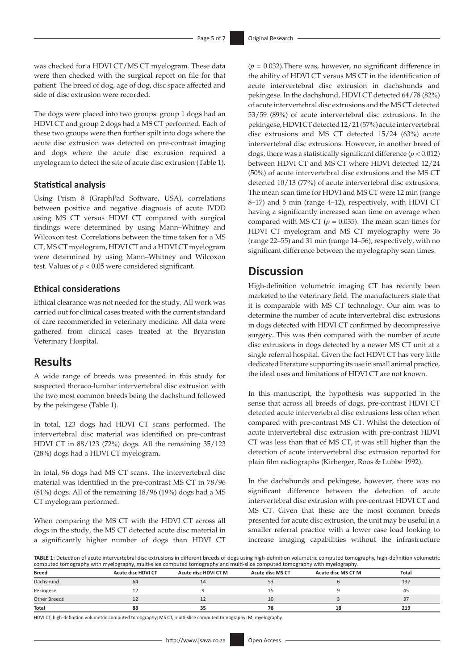was checked for a HDVI CT/MS CT myelogram. These data were then checked with the surgical report on file for that patient. The breed of dog, age of dog, disc space affected and side of disc extrusion were recorded.

The dogs were placed into two groups: group 1 dogs had an HDVI CT and group 2 dogs had a MS CT performed. Each of these two groups were then further spilt into dogs where the acute disc extrusion was detected on pre-contrast imaging and dogs where the acute disc extrusion required a myelogram to detect the site of acute disc extrusion (Table 1).

#### **Statistical analysis**

Using Prism 8 (GraphPad Software, USA), correlations between positive and negative diagnosis of acute IVDD using MS CT versus HDVI CT compared with surgical findings were determined by using Mann–Whitney and Wilcoxon test. Correlations between the time taken for a MS CT, MS CT myelogram, HDVI CT and a HDVI CT myelogram were determined by using Mann–Whitney and Wilcoxon test. Values of  $p < 0.05$  were considered significant.

#### **Ethical considerations**

Ethical clearance was not needed for the study. All work was carried out for clinical cases treated with the current standard of care recommended in veterinary medicine. All data were gathered from clinical cases treated at the Bryanston Veterinary Hospital.

### **Results**

A wide range of breeds was presented in this study for suspected thoraco-lumbar intervertebral disc extrusion with the two most common breeds being the dachshund followed by the pekingese (Table 1).

In total, 123 dogs had HDVI CT scans performed. The intervertebral disc material was identified on pre-contrast HDVI CT in 88/123 (72%) dogs. All the remaining 35/123 (28%) dogs had a HDVI CT myelogram.

In total, 96 dogs had MS CT scans. The intervertebral disc material was identified in the pre-contrast MS CT in 78/96 (81%) dogs. All of the remaining 18/96 (19%) dogs had a MS CT myelogram performed.

When comparing the MS CT with the HDVI CT across all dogs in the study, the MS CT detected acute disc material in a significantly higher number of dogs than HDVI CT (*p* = 0.032).There was, however, no significant difference in the ability of HDVI CT versus MS CT in the identification of acute intervertebral disc extrusion in dachshunds and pekingese. In the dachshund, HDVI CT detected 64/78 (82%) of acute intervertebral disc extrusions and the MS CT detected 53/59 (89%) of acute intervertebral disc extrusions. In the pekingese, HDVI CT detected 12/21 (57%) acute intervertebral disc extrusions and MS CT detected 15/24 (63%) acute intervertebral disc extrusions. However, in another breed of dogs, there was a statistically significant difference (*p* < 0.012) between HDVI CT and MS CT where HDVI detected 12/24 (50%) of acute intervertebral disc extrusions and the MS CT detected 10/13 (77%) of acute intervertebral disc extrusions. The mean scan time for HDVI and MS CT were 12 min (range 8–17) and 5 min (range 4–12), respectively, with HDVI CT having a significantly increased scan time on average when compared with MS CT  $(p = 0.035)$ . The mean scan times for HDVI CT myelogram and MS CT myelography were 36 (range 22–55) and 31 min (range 14–56), respectively, with no significant difference between the myelography scan times.

# **Discussion**

High-definition volumetric imaging CT has recently been marketed to the veterinary field. The manufacturers state that it is comparable with MS CT technology. Our aim was to determine the number of acute intervertebral disc extrusions in dogs detected with HDVI CT confirmed by decompressive surgery. This was then compared with the number of acute disc extrusions in dogs detected by a newer MS CT unit at a single referral hospital. Given the fact HDVI CT has very little dedicated literature supporting its use in small animal practice, the ideal uses and limitations of HDVI CT are not known.

In this manuscript, the hypothesis was supported in the sense that across all breeds of dogs, pre-contrast HDVI CT detected acute intervertebral disc extrusions less often when compared with pre-contrast MS CT. Whilst the detection of acute intervertebral disc extrusion with pre-contrast HDVI CT was less than that of MS CT, it was still higher than the detection of acute intervertebral disc extrusion reported for plain film radiographs (Kirberger, Roos & Lubbe 1992).

In the dachshunds and pekingese, however, there was no significant difference between the detection of acute intervertebral disc extrusion with pre-contrast HDVI CT and MS CT. Given that these are the most common breeds presented for acute disc extrusion, the unit may be useful in a smaller referral practice with a lower case load looking to increase imaging capabilities without the infrastructure

**TABLE 1:** Detection of acute intervertebral disc extrusions in different breeds of dogs using high-definition volumetric computed tomography, high-definition volumetric computed tomography with myelography, multi-slice computed tomography and multi-slice computed tomography with myelography.

| <b>Breed</b> | <b>Acute disc HDVI CT</b> | Acute disc HDVI CT M | <b>Acute disc MS CT</b> | Acute disc MS CT M | <b>Total</b> |
|--------------|---------------------------|----------------------|-------------------------|--------------------|--------------|
| Dachshund    | 64                        |                      | 53                      |                    | 137          |
| Pekingese    |                           |                      |                         |                    | 45           |
| Other Breeds |                           |                      | 10                      |                    | 37           |
| Total        | 88                        |                      |                         | 18                 | 219          |

HDVI CT, high-definition volumetric computed tomography; MS CT, multi-slice computed tomography; M, myelography.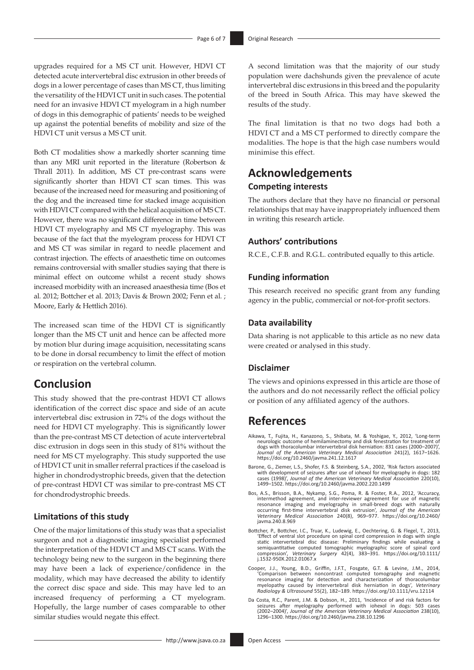upgrades required for a MS CT unit. However, HDVI CT detected acute intervertebral disc extrusion in other breeds of dogs in a lower percentage of cases than MS CT, thus limiting the versatility of the HDVI CT unit in such cases. The potential need for an invasive HDVI CT myelogram in a high number of dogs in this demographic of patients' needs to be weighed up against the potential benefits of mobility and size of the HDVI CT unit versus a MS CT unit.

Both CT modalities show a markedly shorter scanning time than any MRI unit reported in the literature (Robertson & Thrall 2011). In addition, MS CT pre-contrast scans were significantly shorter than HDVI CT scan times. This was because of the increased need for measuring and positioning of the dog and the increased time for stacked image acquisition with HDVI CT compared with the helical acquisition of MS CT. However, there was no significant difference in time between HDVI CT myelography and MS CT myelography. This was because of the fact that the myelogram process for HDVI CT and MS CT was similar in regard to needle placement and contrast injection. The effects of anaesthetic time on outcomes remains controversial with smaller studies saying that there is minimal effect on outcome whilst a recent study shows increased morbidity with an increased anaesthesia time (Bos et al. 2012; Bottcher et al. 2013; Davis & Brown 2002; Fenn et al. ; Moore, Early & Hettlich 2016).

The increased scan time of the HDVI CT is significantly longer than the MS CT unit and hence can be affected more by motion blur during image acquisition, necessitating scans to be done in dorsal recumbency to limit the effect of motion or respiration on the vertebral column.

# **Conclusion**

This study showed that the pre-contrast HDVI CT allows identification of the correct disc space and side of an acute intervertebral disc extrusion in 72% of the dogs without the need for HDVI CT myelography. This is significantly lower than the pre-contrast MS CT detection of acute intervertebral disc extrusion in dogs seen in this study of 81% without the need for MS CT myelography. This study supported the use of HDVI CT unit in smaller referral practices if the caseload is higher in chondrodystrophic breeds, given that the detection of pre-contrast HDVI CT was similar to pre-contrast MS CT for chondrodystrophic breeds.

#### **Limitations of this study**

One of the major limitations of this study was that a specialist surgeon and not a diagnostic imaging specialist performed the interpretation of the HDVI CT and MS CT scans. With the technology being new to the surgeon in the beginning there may have been a lack of experience/confidence in the modality, which may have decreased the ability to identify the correct disc space and side. This may have led to an increased frequency of performing a CT myelogram. Hopefully, the large number of cases comparable to other similar studies would negate this effect.

A second limitation was that the majority of our study population were dachshunds given the prevalence of acute intervertebral disc extrusions in this breed and the popularity of the breed in South Africa. This may have skewed the results of the study.

The final limitation is that no two dogs had both a HDVI CT and a MS CT performed to directly compare the modalities. The hope is that the high case numbers would minimise this effect.

# **Acknowledgements**

#### **Competing interests**

The authors declare that they have no financial or personal relationships that may have inappropriately influenced them in writing this research article.

### **Authors' contributions**

R.C.E., C.F.B. and R.G.L. contributed equally to this article.

#### **Funding information**

This research received no specific grant from any funding agency in the public, commercial or not-for-profit sectors.

#### **Data availability**

Data sharing is not applicable to this article as no new data were created or analysed in this study.

#### **Disclaimer**

The views and opinions expressed in this article are those of the authors and do not necessarily reflect the official policy or position of any affiliated agency of the authors.

# **References**

- Aikawa, T., Fujita, H., Kanazono, S., Shibata, M. & Yoshigae, Y., 2012, 'Long-term neurologic outcome of hemilaminectomy and disk fenestration for treatment of dogs with thoracolumbar intervertebral disk herniation: 831 cases (2000–2007)', *Journal of the American Veterinary Medical Association* 241(2), 1617–1626. <https://doi.org/10.2460/javma.241.12.1617>
- Barone, G., Ziemer, L.S., Shofer, F.S. & Steinberg, S.A., 2002, 'Risk factors associated with development of seizures after use of iohexol for myelography in dogs: 182 cases (1998)', Journal of the American Veterinary Medi
- Bos, A.S., Brisson, B.A., Nykamp, S.G., Poma, R. & Foster, R.A., 2012, 'Accuracy, intermethod agreement, and inter-reviewer agreement for use of magnetic resonance imaging and myelography in small-breed dogs with naturally [javma.240.8.969](https://doi.org/10.2460/javma.240.8.969)
- Bottcher, P., Bottcher, I.C., Truar, K., Ludewig, E., Oechtering, G. & Flegel, T., 2013, 'Effect of ventral slot procedure on spinal cord compression in dogs with single static intervertebral disc disease: Preliminary findings while evaluating a<br>semiquantitative computed tomographic myelographic score of spinal cord<br>compression', *Veterinary Surgery 4*2(4), 383–391. https://doi.org/10.1111 compression', Veterinary<br>[j.1532-950X.2012.01067.x](https://doi.org/10.1111/j.1532-950X.2012.01067.x)
- Cooper, J.J., Young, B.D., Griffin, J.F.T., Fosgate, G.T. & Levine, J.M., 2014, 'Comparison between noncontrast computed tomography and magnetic resonance imaging for detection and characterization of thoracolumbar myelopathy caused by intervertebral disk herniation in dogs', *Veterinary Radiology & Ultrasound* 55(2), 182–189. <https://doi.org/10.1111/vru.12114>
- Da Costa, R.C., Parent, J.M. & Dobson, H., 2011, 'Incidence of and risk factors for<br>seizures after myelography performed with iohexol in dogs: 503 cases<br>(2002–2004)', Journal of the American Veterinary Medical Association